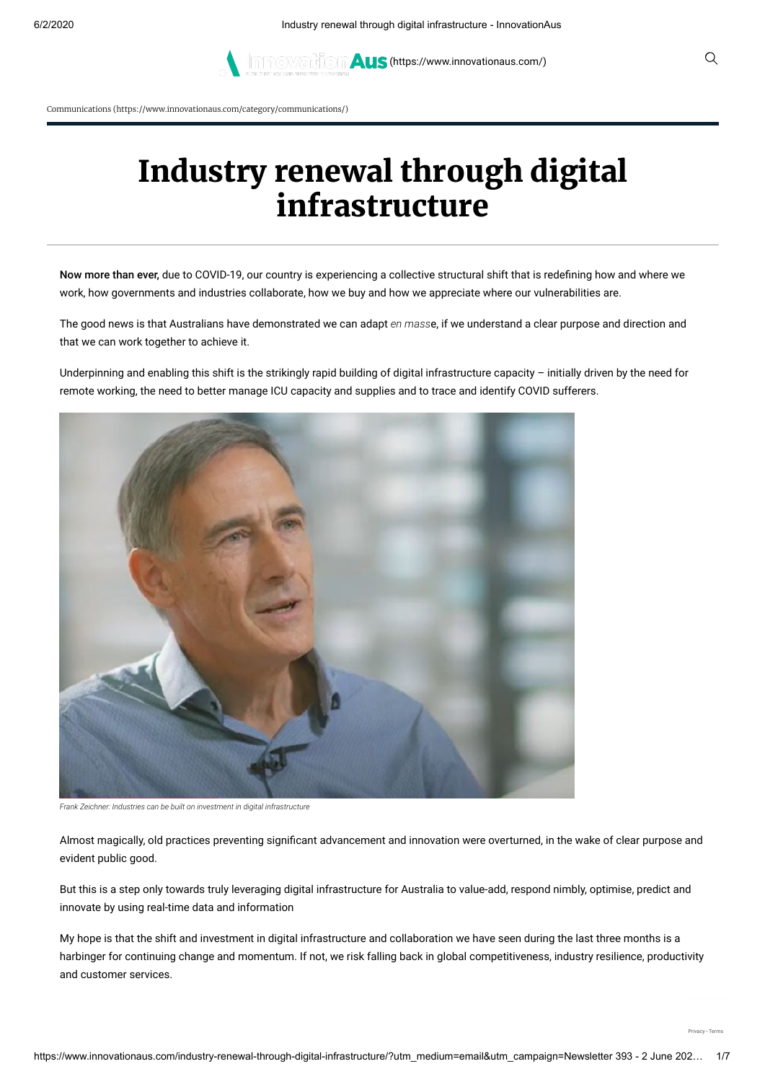**AUS [\(https://www.innovationaus.com/\)](https://www.innovationaus.com/)** Q

Communications [\(https://www.innovationaus.com/category/communications/\)](https://www.innovationaus.com/category/communications/)

# Industry renewal through digital infrastructure

Now more than ever, due to COVID-19, our country is experiencing a collective structural shift that is redefining how and where we work, how governments and industries collaborate, how we buy and how we appreciate where our vulnerabilities are.

The good news is that Australians have demonstrated we can adapt *en mass*e, if we understand a clear purpose and direction and that we can work together to achieve it.

Underpinning and enabling this shift is the strikingly rapid building of digital infrastructure capacity – initially driven by the need for remote working, the need to better manage ICU capacity and supplies and to trace and identify COVID sufferers.



*Frank Zeichner: Industries can be built on investment in digital infrastructure*

Almost magically, old practices preventing significant advancement and innovation were overturned, in the wake of clear purpose and evident public good.

But this is a step only towards truly leveraging digital infrastructure for Australia to value-add, respond nimbly, optimise, predict and innovate by using real-time data and information

My hope is that the shift and investment in digital infrastructure and collaboration we have seen during the last three months is a harbinger for continuing change and momentum. If not, we risk falling back in global competitiveness, industry resilience, productivity and customer services.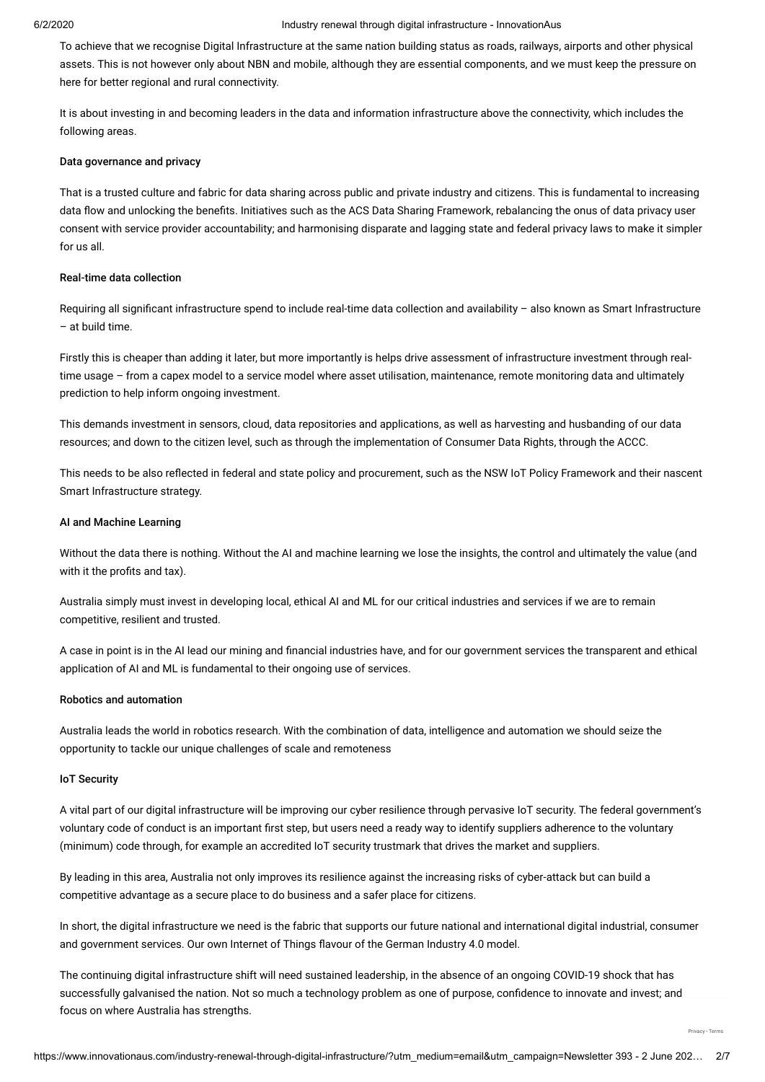To achieve that we recognise Digital Infrastructure at the same nation building status as roads, railways, airports and other physical assets. This is not however only about NBN and mobile, although they are essential components, and we must keep the pressure on here for better regional and rural connectivity.

It is about investing in and becoming leaders in the data and information infrastructure above the connectivity, which includes the following areas.

### Data governance and privacy

That is a trusted culture and fabric for data sharing across public and private industry and citizens. This is fundamental to increasing data flow and unlocking the benefits. Initiatives such as the ACS Data Sharing Framework, rebalancing the onus of data privacy user consent with service provider accountability; and harmonising disparate and lagging state and federal privacy laws to make it simpler for us all.

# Real-time data collection

Requiring all significant infrastructure spend to include real-time data collection and availability - also known as Smart Infrastructure – at build time.

Firstly this is cheaper than adding it later, but more importantly is helps drive assessment of infrastructure investment through realtime usage – from a capex model to a service model where asset utilisation, maintenance, remote monitoring data and ultimately prediction to help inform ongoing investment.

This demands investment in sensors, cloud, data repositories and applications, as well as harvesting and husbanding of our data resources; and down to the citizen level, such as through the implementation of Consumer Data Rights, through the ACCC.

This needs to be also reflected in federal and state policy and procurement, such as the NSW IoT Policy Framework and their nascent Smart Infrastructure strategy.

# AI and Machine Learning

Without the data there is nothing. Without the AI and machine learning we lose the insights, the control and ultimately the value (and with it the profits and tax).

Australia simply must invest in developing local, ethical AI and ML for our critical industries and services if we are to remain competitive, resilient and trusted.

A case in point is in the AI lead our mining and financial industries have, and for our government services the transparent and ethical application of AI and ML is fundamental to their ongoing use of services.

#### Robotics and automation

Australia leads the world in robotics research. With the combination of data, intelligence and automation we should seize the opportunity to tackle our unique challenges of scale and remoteness

# IoT Security

A vital part of our digital infrastructure will be improving our cyber resilience through pervasive IoT security. The federal government's voluntary code of conduct is an important first step, but users need a ready way to identify suppliers adherence to the voluntary (minimum) code through, for example an accredited IoT security trustmark that drives the market and suppliers.

By leading in this area, Australia not only improves its resilience against the increasing risks of cyber-attack but can build a competitive advantage as a secure place to do business and a safer place for citizens.

In short, the digital infrastructure we need is the fabric that supports our future national and international digital industrial, consumer and government services. Our own Internet of Things flavour of the German Industry 4.0 model.

The continuing digital infrastructure shift will need sustained leadership, in the absence of an ongoing COVID-19 shock that has successfully galvanised the nation. Not so much a technology problem as one of purpose, confidence to innovate and invest; and focus on where Australia has strengths.

[Privacy](https://www.google.com/intl/en/policies/privacy/) - [Terms](https://www.google.com/intl/en/policies/terms/)